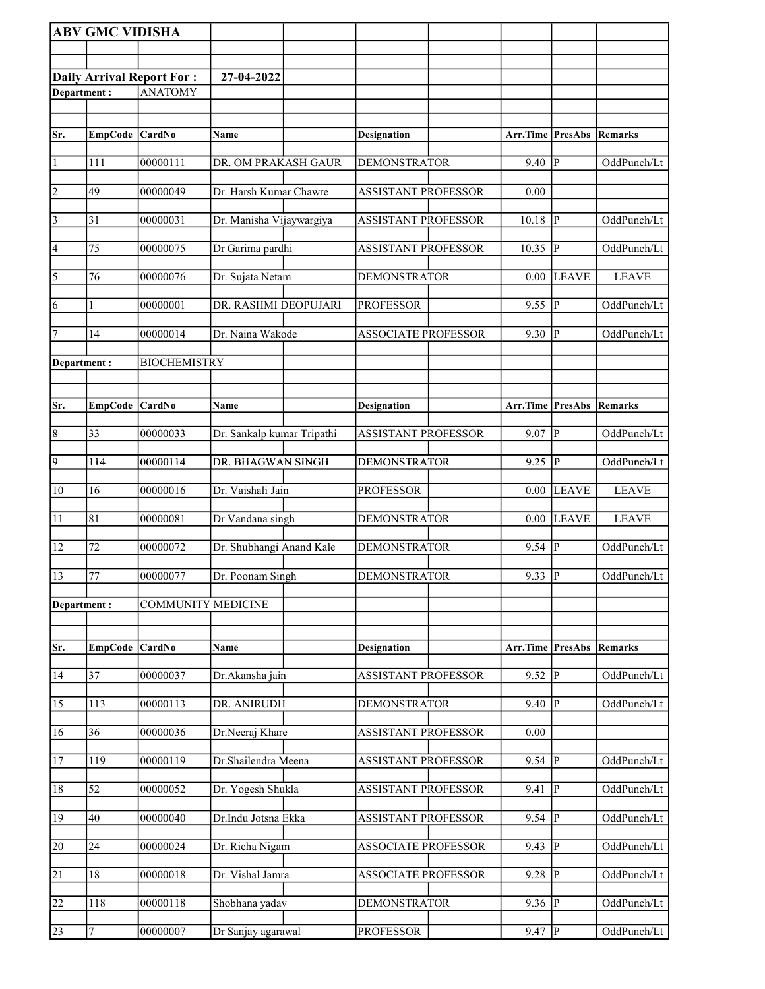|                       | <b>ABV GMC VIDISHA</b> |                                  |                            |                            |                     |                |                |
|-----------------------|------------------------|----------------------------------|----------------------------|----------------------------|---------------------|----------------|----------------|
|                       |                        |                                  |                            |                            |                     |                |                |
|                       |                        | <b>Daily Arrival Report For:</b> | 27-04-2022                 |                            |                     |                |                |
| Department:           |                        | ANATOMY                          |                            |                            |                     |                |                |
|                       |                        |                                  |                            |                            |                     |                |                |
| Sr.                   | EmpCode CardNo         |                                  | Name                       | <b>Designation</b>         | Arr.Time PresAbs    |                | Remarks        |
| 1                     | 111                    | 00000111                         | DR. OM PRAKASH GAUR        | <b>DEMONSTRATOR</b>        | 9.40                | $\overline{P}$ | OddPunch/Lt    |
| $\overline{2}$        | 49                     | 00000049                         | Dr. Harsh Kumar Chawre     | <b>ASSISTANT PROFESSOR</b> | 0.00                |                |                |
| $\vert$ 3             | 31                     | 00000031                         | Dr. Manisha Vijaywargiya   | <b>ASSISTANT PROFESSOR</b> | 10.18               | ${\bf P}$      | OddPunch/Lt    |
| 4                     | 75                     | 00000075                         | Dr Garima pardhi           | <b>ASSISTANT PROFESSOR</b> | 10.35               | $\mathbf P$    | OddPunch/Lt    |
| $\overline{\sqrt{5}}$ | 76                     | 00000076                         | Dr. Sujata Netam           | <b>DEMONSTRATOR</b>        | 0.00                | <b>LEAVE</b>   | <b>LEAVE</b>   |
| 6                     | 1                      | 00000001                         | DR. RASHMI DEOPUJARI       | <b>PROFESSOR</b>           | 9.55                | $\overline{P}$ | OddPunch/Lt    |
| 7                     | 14                     | 00000014                         | Dr. Naina Wakode           | <b>ASSOCIATE PROFESSOR</b> | 9.30                | P              | OddPunch/Lt    |
| Department:           |                        | <b>BIOCHEMISTRY</b>              |                            |                            |                     |                |                |
|                       |                        |                                  |                            |                            |                     |                |                |
| Sr.                   | <b>EmpCode</b>         | <b>CardNo</b>                    | Name                       | <b>Designation</b>         | Arr.Time            | PresAbs        | <b>Remarks</b> |
| $\overline{8}$        | 33                     | 00000033                         | Dr. Sankalp kumar Tripathi | ASSISTANT PROFESSOR        | 9.07                | $\mathbf P$    | OddPunch/Lt    |
| $\overline{9}$        | 114                    | 00000114                         | DR. BHAGWAN SINGH          | <b>DEMONSTRATOR</b>        | 9.25                | $\overline{P}$ | OddPunch/Lt    |
| 10                    | 16                     | 00000016                         | Dr. Vaishali Jain          | <b>PROFESSOR</b>           | 0.00                | <b>LEAVE</b>   | <b>LEAVE</b>   |
| 11                    | 81                     | 00000081                         | Dr Vandana singh           | <b>DEMONSTRATOR</b>        | 0.00                | <b>LEAVE</b>   | <b>LEAVE</b>   |
| 12                    | 72                     | 00000072                         | Dr. Shubhangi Anand Kale   | <b>DEMONSTRATOR</b>        | 9.54                | $\bf P$        | OddPunch/Lt    |
| $\sqrt{13}$           | 77                     | 00000077                         | Dr. Poonam Singh           | <b>DEMONSTRATOR</b>        | $9.33 \overline{P}$ |                | OddPunch/Lt    |
| Department:           |                        | <b>COMMUNITY MEDICINE</b>        |                            |                            |                     |                |                |
|                       |                        |                                  |                            |                            |                     |                |                |
| Sr.                   | <b>EmpCode</b>         | CardNo                           | Name                       | <b>Designation</b>         | Arr.Time PresAbs    |                | Remarks        |
| 14                    | 37                     | 00000037                         | Dr.Akansha jain            | <b>ASSISTANT PROFESSOR</b> | 9.52                | ${\bf P}$      | OddPunch/Lt    |
| 15                    | 113                    | 00000113                         | DR. ANIRUDH                | <b>DEMONSTRATOR</b>        | 9.40                | $\mathbf{P}$   | OddPunch/Lt    |
| 16                    | 36                     | 00000036                         | Dr.Neeraj Khare            | <b>ASSISTANT PROFESSOR</b> | 0.00                |                |                |
| 17                    | 119                    | 00000119                         | Dr.Shailendra Meena        | <b>ASSISTANT PROFESSOR</b> | $\overline{9.54}$   | $\overline{P}$ | OddPunch/Lt    |
| 18                    | 52                     | 00000052                         | Dr. Yogesh Shukla          | ASSISTANT PROFESSOR        | 9.41                | P              | OddPunch/Lt    |
| 19                    | $40\,$                 | 00000040                         | Dr.Indu Jotsna Ekka        | ASSISTANT PROFESSOR        | 9.54                | P              | OddPunch/Lt    |
| 20                    | 24                     | 00000024                         | Dr. Richa Nigam            | <b>ASSOCIATE PROFESSOR</b> | 9.43                | ${\bf P}$      | OddPunch/Lt    |
| $\overline{21}$       | 18                     | 00000018                         | Dr. Vishal Jamra           | <b>ASSOCIATE PROFESSOR</b> | 9.28                | $\overline{P}$ | OddPunch/Lt    |
| 22                    | 118                    | 00000118                         | Shobhana yadav             | <b>DEMONSTRATOR</b>        | 9.36                | $\mathbf P$    | OddPunch/Lt    |
| 23                    | 7                      | 00000007                         | Dr Sanjay agarawal         | <b>PROFESSOR</b>           | 9.47                | P              | OddPunch/Lt    |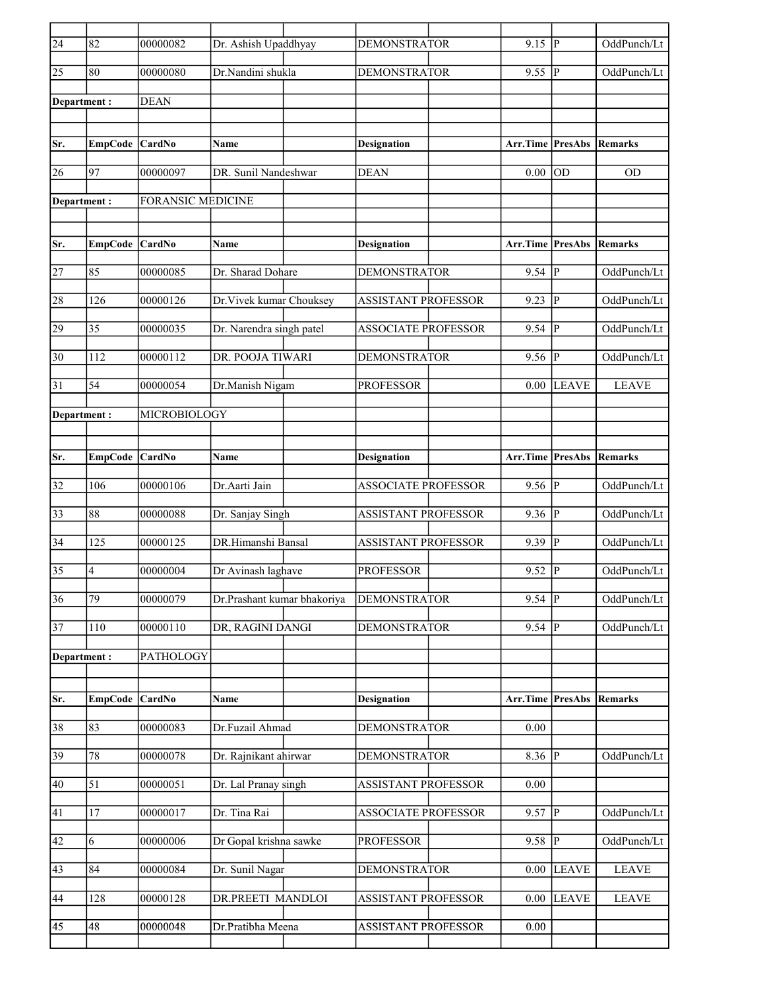| $\overline{24}$ | 82             | 00000082                 | Dr. Ashish Upaddhyay        | <b>DEMONSTRATOR</b>        | $9.15$ P                |              | OddPunch/Lt    |
|-----------------|----------------|--------------------------|-----------------------------|----------------------------|-------------------------|--------------|----------------|
| $\overline{25}$ | 80             | 00000080                 | Dr.Nandini shukla           | <b>DEMONSTRATOR</b>        | $9.55$ P                |              | OddPunch/Lt    |
| Department:     |                | <b>DEAN</b>              |                             |                            |                         |              |                |
|                 |                |                          |                             |                            |                         |              |                |
| Sr.             | EmpCode CardNo |                          | Name                        | <b>Designation</b>         | Arr.Time PresAbs        |              | Remarks        |
| 26              | 97             | 00000097                 | DR. Sunil Nandeshwar        | <b>DEAN</b>                | 0.00                    | <b>OD</b>    | <b>OD</b>      |
| Department:     |                | <b>FORANSIC MEDICINE</b> |                             |                            |                         |              |                |
|                 |                |                          |                             |                            |                         |              |                |
| Sr.             | <b>EmpCode</b> | CardNo                   | Name                        | <b>Designation</b>         | <b>Arr.Time PresAbs</b> |              | <b>Remarks</b> |
| 27              | 85             | 00000085                 | Dr. Sharad Dohare           | <b>DEMONSTRATOR</b>        | $9.54$ $\overline{P}$   |              | OddPunch/Lt    |
|                 |                |                          |                             |                            |                         |              |                |
| 28              | 126            | 00000126                 | Dr. Vivek kumar Chouksey    | <b>ASSISTANT PROFESSOR</b> | 9.23                    | P            | OddPunch/Lt    |
| 29              | 35             | 00000035                 | Dr. Narendra singh patel    | <b>ASSOCIATE PROFESSOR</b> | 9.54                    | P            | OddPunch/Lt    |
| $\overline{30}$ | 112            | 00000112                 | DR. POOJA TIWARI            | <b>DEMONSTRATOR</b>        | $9.56$ P                |              | OddPunch/Lt    |
| 31              | 54             | 00000054                 | Dr.Manish Nigam             | <b>PROFESSOR</b>           | 0.00                    | <b>LEAVE</b> | <b>LEAVE</b>   |
| Department :    |                | MICROBIOLOGY             |                             |                            |                         |              |                |
|                 |                |                          |                             |                            |                         |              |                |
| Sr.             | <b>EmpCode</b> | <b>CardNo</b>            | Name                        | Designation                | Arr.Time PresAbs        |              | Remarks        |
| 32              | 106            | 00000106                 | Dr.Aarti Jain               | <b>ASSOCIATE PROFESSOR</b> | 9.56 P                  |              | OddPunch/Lt    |
| 33              | 88             | 00000088                 | Dr. Sanjay Singh            | ASSISTANT PROFESSOR        | 9.36   P                |              | OddPunch/Lt    |
| $\overline{34}$ | 125            | 00000125                 | DR.Himanshi Bansal          | <b>ASSISTANT PROFESSOR</b> | $9.39$ P                |              | OddPunch/Lt    |
| $\overline{35}$ | $\overline{4}$ | 00000004                 | Dr Avinash laghave          | <b>PROFESSOR</b>           | 9.52                    | P            | OddPunch/Lt    |
| $\overline{36}$ | 79             | 00000079                 | Dr.Prashant kumar bhakoriya | <b>DEMONSTRATOR</b>        | $9.54$ P                |              | OddPunch/Lt    |
| $\overline{37}$ | 110            | 00000110                 | DR, RAGINI DANGI            | <b>DEMONSTRATOR</b>        | $\overline{9.54}$ P     |              | OddPunch/Lt    |
| Department:     |                | PATHOLOGY                |                             |                            |                         |              |                |
|                 |                |                          |                             |                            |                         |              |                |
| Sr.             | <b>EmpCode</b> | CardNo                   | Name                        | <b>Designation</b>         | Arr.Time PresAbs        |              | Remarks        |
| 38              | 83             | 00000083                 | Dr.Fuzail Ahmad             | <b>DEMONSTRATOR</b>        | 0.00                    |              |                |
| 39              | 78             | 00000078                 | Dr. Rajnikant ahirwar       | <b>DEMONSTRATOR</b>        | $8.36$ P                |              | OddPunch/Lt    |
| 40              | 51             | 00000051                 | Dr. Lal Pranay singh        | <b>ASSISTANT PROFESSOR</b> | 0.00                    |              |                |
| 41              | 17             | 00000017                 | Dr. Tina Rai                | <b>ASSOCIATE PROFESSOR</b> | $9.57$ P                |              | OddPunch/Lt    |
| 42              | 6              | 00000006                 | Dr Gopal krishna sawke      | PROFESSOR                  | $9.58$ P                |              | OddPunch/Lt    |
| 43              | 84             | 00000084                 | Dr. Sunil Nagar             | <b>DEMONSTRATOR</b>        | $0.00\,$                | <b>LEAVE</b> | <b>LEAVE</b>   |
| 44              | 128            | 00000128                 | DR.PREETI MANDLOI           | <b>ASSISTANT PROFESSOR</b> | 0.00                    | <b>LEAVE</b> | <b>LEAVE</b>   |
| 45              | 48             | 00000048                 | Dr.Pratibha Meena           | <b>ASSISTANT PROFESSOR</b> | 0.00                    |              |                |
|                 |                |                          |                             |                            |                         |              |                |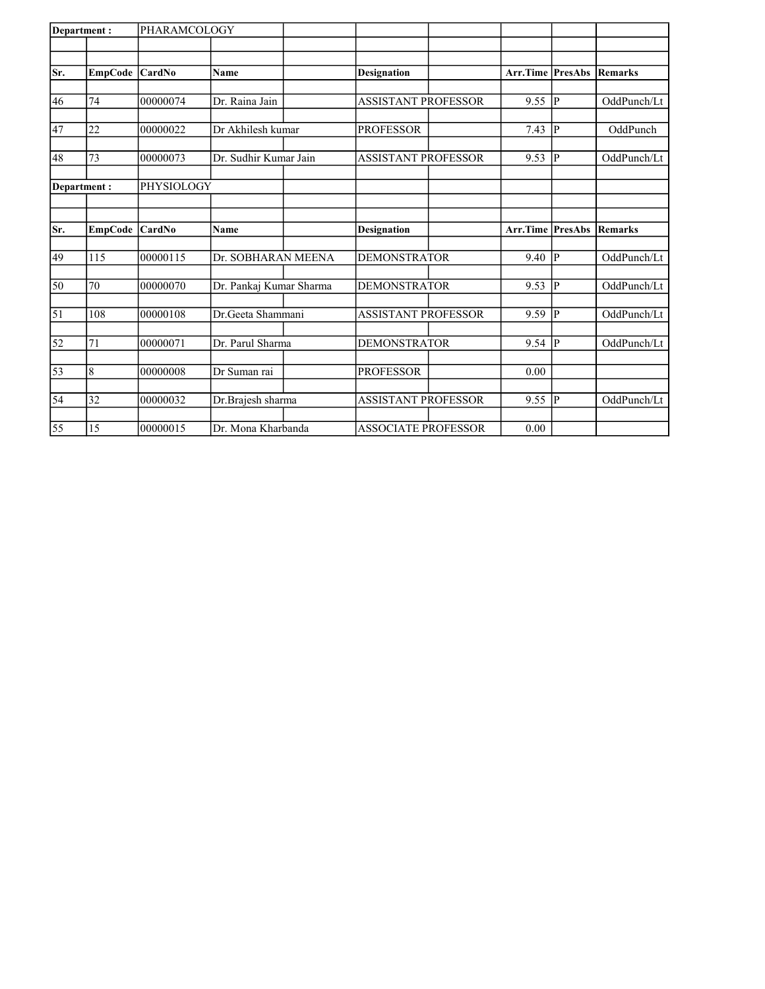| Department: |                | PHARAMCOLOGY  |                         |                            |                         |             |                |
|-------------|----------------|---------------|-------------------------|----------------------------|-------------------------|-------------|----------------|
|             |                |               |                         |                            |                         |             |                |
| Sr.         | <b>EmpCode</b> | CardNo        | <b>Name</b>             | <b>Designation</b>         | Arr.Time                | PresAbs     | <b>Remarks</b> |
|             |                |               |                         |                            |                         |             |                |
| 46          | 74             | 00000074      | Dr. Raina Jain          | <b>ASSISTANT PROFESSOR</b> | 9.55                    | <b>p</b>    | OddPunch/Lt    |
| 47          | 22             | 00000022      | Dr Akhilesh kumar       | <b>PROFESSOR</b>           | 7.43                    | $ {\bf p} $ | OddPunch       |
| 48          | 73             | 00000073      | Dr. Sudhir Kumar Jain   | <b>ASSISTANT PROFESSOR</b> | 9.53                    | P           | OddPunch/Lt    |
| Department: |                | PHYSIOLOGY    |                         |                            |                         |             |                |
|             |                |               |                         |                            |                         |             |                |
| Sr.         | <b>EmpCode</b> | <b>CardNo</b> | <b>Name</b>             | <b>Designation</b>         | <b>Arr.Time PresAbs</b> |             | <b>Remarks</b> |
| 49          | 115            | 00000115      | Dr. SOBHARAN MEENA      | <b>DEMONSTRATOR</b>        | 9.40                    | P           | OddPunch/Lt    |
| 50          | 70             | 00000070      | Dr. Pankaj Kumar Sharma | <b>DEMONSTRATOR</b>        | 9.53                    | <b>P</b>    | OddPunch/Lt    |
| $\vert$ 51  | 108            | 00000108      | Dr.Geeta Shammani       | <b>ASSISTANT PROFESSOR</b> | 9.59                    | P           | OddPunch/Lt    |
| 52          | 71             | 00000071      | Dr. Parul Sharma        | <b>DEMONSTRATOR</b>        | 9.54                    | <b>P</b>    | OddPunch/Lt    |
| 53          | 8              | 00000008      | Dr Suman rai            | <b>PROFESSOR</b>           | 0.00                    |             |                |
| 54          | 32             | 00000032      | Dr.Brajesh sharma       | <b>ASSISTANT PROFESSOR</b> | 9.55                    | P           | OddPunch/Lt    |
| 55          | 15             | 00000015      | Dr. Mona Kharbanda      | ASSOCIATE PROFESSOR        | 0.00                    |             |                |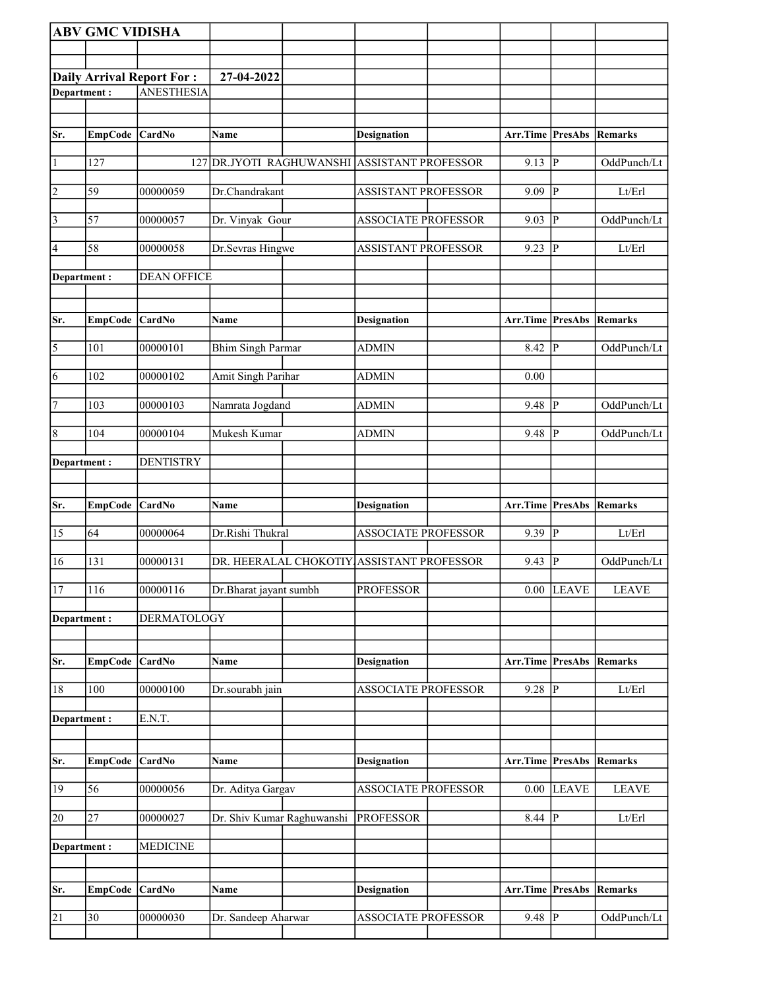|                       | <b>ABV GMC VIDISHA</b> |                                  |                                          |                                           |                                 |                |                |
|-----------------------|------------------------|----------------------------------|------------------------------------------|-------------------------------------------|---------------------------------|----------------|----------------|
|                       |                        |                                  |                                          |                                           |                                 |                |                |
|                       |                        |                                  |                                          |                                           |                                 |                |                |
|                       |                        | <b>Daily Arrival Report For:</b> | 27-04-2022                               |                                           |                                 |                |                |
| Department:           |                        | <b>ANESTHESIA</b>                |                                          |                                           |                                 |                |                |
|                       |                        |                                  |                                          |                                           |                                 |                |                |
| Sr.                   | <b>EmpCode</b>         | <b>CardNo</b>                    | Name                                     | <b>Designation</b>                        | Arr.Time PresAbs                |                | Remarks        |
|                       |                        |                                  |                                          |                                           |                                 |                |                |
| $\vert$ 1             | 127                    | 127                              | DR.JYOTI RAGHUWANSHI ASSISTANT PROFESSOR |                                           | 9.13                            | P              | OddPunch/Lt    |
| $\overline{2}$        | 59                     | 00000059                         | Dr.Chandrakant                           | <b>ASSISTANT PROFESSOR</b>                | 9.09                            | P              | Lt/Erl         |
| $\overline{3}$        | 57                     | 00000057                         | Dr. Vinyak Gour                          | <b>ASSOCIATE PROFESSOR</b>                | 9.03                            | P              | OddPunch/Lt    |
| 4                     | 58                     | 00000058                         | Dr.Sevras Hingwe                         | <b>ASSISTANT PROFESSOR</b>                | 9.23                            | P              | Lt/Erl         |
| Department :          |                        | <b>DEAN OFFICE</b>               |                                          |                                           |                                 |                |                |
|                       |                        |                                  |                                          |                                           |                                 |                |                |
| Sr.                   | <b>EmpCode</b>         | <b>CardNo</b>                    | Name                                     | <b>Designation</b>                        | <b>Arr.Time PresAbs Remarks</b> |                |                |
|                       |                        |                                  |                                          |                                           |                                 |                |                |
| $\overline{\sqrt{5}}$ | 101                    | 00000101                         | <b>Bhim Singh Parmar</b>                 | <b>ADMIN</b>                              | 8.42                            | P              | OddPunch/Lt    |
| $\overline{6}$        | 102                    | 00000102                         | Amit Singh Parihar                       | <b>ADMIN</b>                              | 0.00                            |                |                |
|                       |                        |                                  |                                          |                                           |                                 |                |                |
| 7                     | 103                    | 00000103                         | Namrata Jogdand                          | <b>ADMIN</b>                              | 9.48                            | P              | OddPunch/Lt    |
| $\overline{8}$        | 104                    | 00000104                         | Mukesh Kumar                             | <b>ADMIN</b>                              | 9.48                            | P              | OddPunch/Lt    |
| Department:           |                        | <b>DENTISTRY</b>                 |                                          |                                           |                                 |                |                |
|                       |                        |                                  |                                          |                                           |                                 |                |                |
|                       |                        |                                  |                                          |                                           |                                 |                |                |
| Sr.                   | <b>EmpCode</b>         | <b>CardNo</b>                    | Name                                     | <b>Designation</b>                        | Arr.Time PresAbs                |                | <b>Remarks</b> |
| 15                    | 64                     |                                  |                                          |                                           |                                 |                |                |
|                       |                        | 00000064                         | Dr.Rishi Thukral                         | <b>ASSOCIATE PROFESSOR</b>                | 9.39 $\overline{P}$             |                | Lt/Erl         |
| 16                    | 131                    | 00000131                         |                                          | DR. HEERALAL CHOKOTIY ASSISTANT PROFESSOR | 9.43                            | $\overline{P}$ | OddPunch/Lt    |
|                       |                        |                                  |                                          |                                           |                                 |                |                |
| 17                    | 116                    | 00000116                         | Dr.Bharat jayant sumbh                   | <b>PROFESSOR</b>                          |                                 | $0.00$ LEAVE   | <b>LEAVE</b>   |
| Department:           |                        | <b>DERMATOLOGY</b>               |                                          |                                           |                                 |                |                |
|                       |                        |                                  |                                          |                                           |                                 |                |                |
| Sr.                   | <b>EmpCode</b>         | <b>CardNo</b>                    | Name                                     | <b>Designation</b>                        | Arr.Time                        | <b>PresAbs</b> | <b>Remarks</b> |
| $18\,$                | 100                    | 00000100                         | Dr.sourabh jain                          | ASSOCIATE PROFESSOR                       | $9.28$ P                        |                | Lt/Erl         |
|                       |                        |                                  |                                          |                                           |                                 |                |                |
| Department:           |                        | E.N.T.                           |                                          |                                           |                                 |                |                |
|                       |                        |                                  |                                          |                                           |                                 |                |                |
| Sr.                   | <b>EmpCode</b>         | <b>CardNo</b>                    | Name                                     | <b>Designation</b>                        | Arr.Time PresAbs Remarks        |                |                |
| 19                    | 56                     | 00000056                         | Dr. Aditya Gargav                        | <b>ASSOCIATE PROFESSOR</b>                | $0.00\,$                        | <b>LEAVE</b>   | <b>LEAVE</b>   |
| 20                    | 27                     | 00000027                         | Dr. Shiv Kumar Raghuwanshi               | <b>PROFESSOR</b>                          | $8.44$ P                        |                | Lt/Erl         |
|                       |                        |                                  |                                          |                                           |                                 |                |                |
| Department:           |                        | <b>MEDICINE</b>                  |                                          |                                           |                                 |                |                |
|                       |                        |                                  |                                          |                                           |                                 |                |                |
|                       |                        |                                  |                                          |                                           |                                 |                |                |
| Sr.                   | <b>EmpCode</b>         | <b>CardNo</b>                    | Name                                     | <b>Designation</b>                        | Arr.Time PresAbs                |                | Remarks        |
| 21                    | $\overline{30}$        | 00000030                         | Dr. Sandeep Aharwar                      | <b>ASSOCIATE PROFESSOR</b>                | $9.48$ P                        |                | OddPunch/Lt    |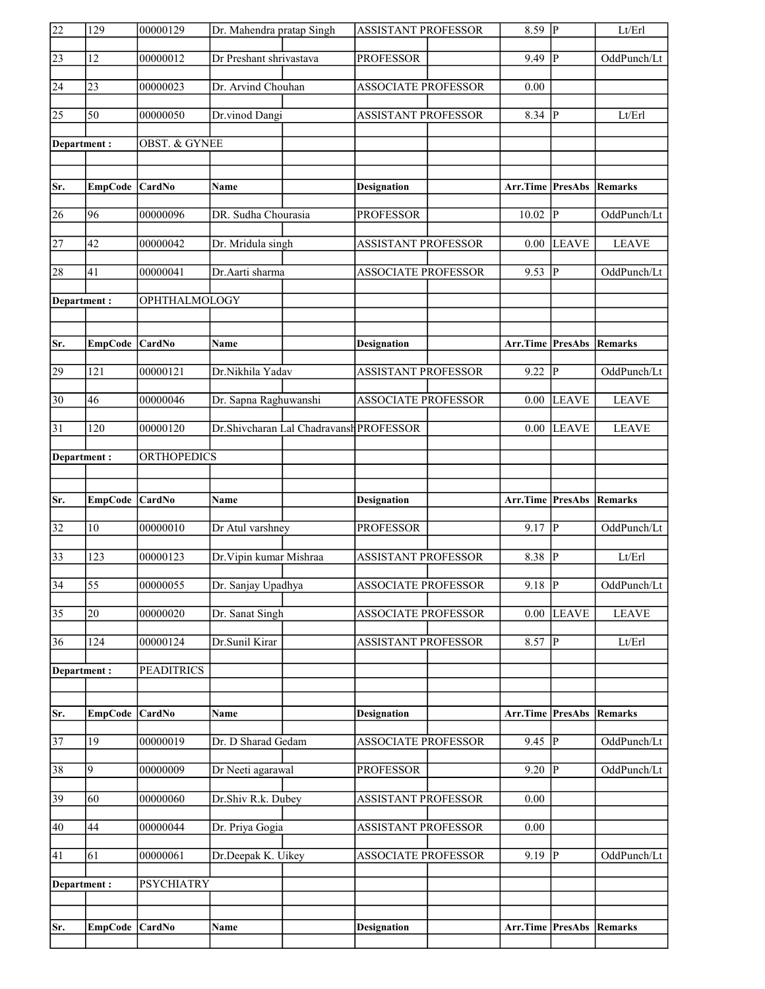| 22              | 129             | 00000129                 | Dr. Mahendra pratap Singh |                                         | <b>ASSISTANT PROFESSOR</b> | $8.59$ P                        |                         | Lt/Erl         |
|-----------------|-----------------|--------------------------|---------------------------|-----------------------------------------|----------------------------|---------------------------------|-------------------------|----------------|
| $\overline{23}$ | 12              | 00000012                 | Dr Preshant shrivastava   |                                         | <b>PROFESSOR</b>           | 9.49                            | $\overline{\mathbb{P}}$ | OddPunch/Lt    |
| 24              | 23              | 00000023                 | Dr. Arvind Chouhan        |                                         | ASSOCIATE PROFESSOR        | 0.00                            |                         |                |
| $\overline{25}$ | $\overline{50}$ | 00000050                 | Dr.vinod Dangi            |                                         | <b>ASSISTANT PROFESSOR</b> | 8.34                            | P                       | Lt/Erl         |
| Department:     |                 | <b>OBST. &amp; GYNEE</b> |                           |                                         |                            |                                 |                         |                |
|                 |                 |                          |                           |                                         |                            |                                 |                         |                |
| Sr.             | <b>EmpCode</b>  | <b>CardNo</b>            | <b>Name</b>               |                                         | <b>Designation</b>         | <b>Arr.Time PresAbs Remarks</b> |                         |                |
| 26              | 96              | 00000096                 | DR. Sudha Chourasia       |                                         | <b>PROFESSOR</b>           | 10.02                           | P                       | OddPunch/Lt    |
| $\overline{27}$ | 42              | 00000042                 | Dr. Mridula singh         |                                         | <b>ASSISTANT PROFESSOR</b> | 0.00                            | <b>LEAVE</b>            | <b>LEAVE</b>   |
| 28              | 41              | 00000041                 | Dr.Aarti sharma           |                                         | <b>ASSOCIATE PROFESSOR</b> | 9.53                            | P                       | OddPunch/Lt    |
| Department:     |                 | OPHTHALMOLOGY            |                           |                                         |                            |                                 |                         |                |
|                 |                 |                          |                           |                                         |                            |                                 |                         |                |
| Sr.             | <b>EmpCode</b>  | <b>CardNo</b>            | Name                      |                                         | <b>Designation</b>         | <b>Arr.Time PresAbs Remarks</b> |                         |                |
| 29              | 121             | 00000121                 | Dr.Nikhila Yadav          |                                         | <b>ASSISTANT PROFESSOR</b> | 9.22                            | $\overline{\mathbf{P}}$ | OddPunch/Lt    |
| $\overline{30}$ | 46              | 00000046                 | Dr. Sapna Raghuwanshi     |                                         | <b>ASSOCIATE PROFESSOR</b> | 0.00                            | <b>LEAVE</b>            | <b>LEAVE</b>   |
| 31              | 120             | 00000120                 |                           | Dr.Shivcharan Lal Chadravansh PROFESSOR |                            | 0.00                            | <b>LEAVE</b>            | <b>LEAVE</b>   |
| Department:     |                 | <b>ORTHOPEDICS</b>       |                           |                                         |                            |                                 |                         |                |
|                 |                 |                          |                           |                                         |                            |                                 |                         |                |
|                 |                 |                          |                           |                                         |                            |                                 |                         |                |
| Sr.             | <b>EmpCode</b>  | <b>CardNo</b>            | Name                      |                                         | <b>Designation</b>         | Arr.Time PresAbs                |                         | <b>Remarks</b> |
| $\overline{32}$ | 10              | 00000010                 | Dr Atul varshney          |                                         | <b>PROFESSOR</b>           | $9.17$ P                        |                         | OddPunch/Lt    |
| $\overline{33}$ | 123             | 00000123                 | Dr. Vipin kumar Mishraa   |                                         | <b>ASSISTANT PROFESSOR</b> | 8.38 $\overline{P}$             |                         | Lt/Erl         |
| $\overline{34}$ | $\overline{55}$ | 00000055                 | Dr. Sanjay Upadhya        |                                         | <b>ASSOCIATE PROFESSOR</b> | $9.18$ P                        |                         | OddPunch/Lt    |
| $\overline{35}$ | 20              | 00000020                 | Dr. Sanat Singh           |                                         | <b>ASSOCIATE PROFESSOR</b> | 0.00                            | <b>LEAVE</b>            | <b>LEAVE</b>   |
| 36              | 124             | 00000124                 | Dr.Sunil Kirar            |                                         | <b>ASSISTANT PROFESSOR</b> | 8.57                            | $ {\bf P} $             | Lt/Erl         |
| Department:     |                 | <b>PEADITRICS</b>        |                           |                                         |                            |                                 |                         |                |
|                 |                 |                          |                           |                                         |                            |                                 |                         |                |
| Sr.             | <b>EmpCode</b>  | CardNo                   | Name                      |                                         | <b>Designation</b>         | <b>Arr.Time PresAbs</b>         |                         | <b>Remarks</b> |
| $\overline{37}$ | 19              | 00000019                 | Dr. D Sharad Gedam        |                                         | <b>ASSOCIATE PROFESSOR</b> | $9.45$ P                        |                         | OddPunch/Lt    |
| 38              | 9               | 00000009                 | Dr Neeti agarawal         |                                         | <b>PROFESSOR</b>           | 9.20                            | $\overline{P}$          | OddPunch/Lt    |
| 39              | 60              | 00000060                 | Dr.Shiv R.k. Dubey        |                                         | ASSISTANT PROFESSOR        | $0.00\,$                        |                         |                |
| 40              | 44              | 00000044                 | Dr. Priya Gogia           |                                         | <b>ASSISTANT PROFESSOR</b> | 0.00                            |                         |                |
| 41              | 61              | 00000061                 | Dr.Deepak K. Uikey        |                                         | <b>ASSOCIATE PROFESSOR</b> | $9.19$ P                        |                         | OddPunch/Lt    |
| Department:     |                 | <b>PSYCHIATRY</b>        |                           |                                         |                            |                                 |                         |                |
|                 |                 |                          |                           |                                         |                            |                                 |                         |                |